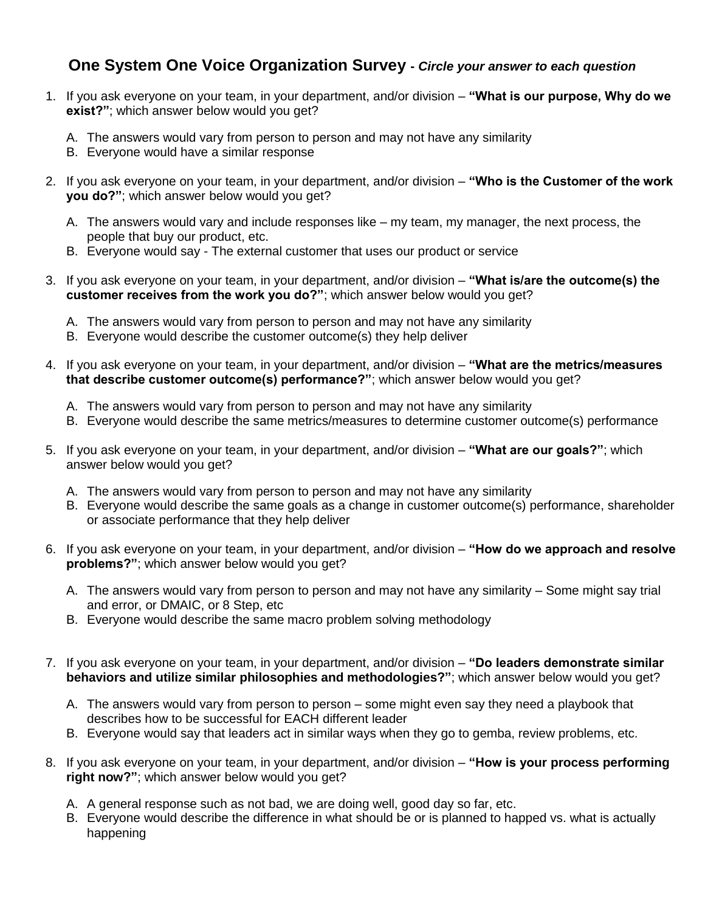## **One System One Voice Organization Survey -** *Circle your answer to each question*

- 1. If you ask everyone on your team, in your department, and/or division **"What is our purpose, Why do we exist?"**; which answer below would you get?
	- A. The answers would vary from person to person and may not have any similarity
	- B. Everyone would have a similar response
- 2. If you ask everyone on your team, in your department, and/or division **"Who is the Customer of the work you do?"**; which answer below would you get?
	- A. The answers would vary and include responses like my team, my manager, the next process, the people that buy our product, etc.
	- B. Everyone would say The external customer that uses our product or service
- 3. If you ask everyone on your team, in your department, and/or division **"What is/are the outcome(s) the customer receives from the work you do?"**; which answer below would you get?
	- A. The answers would vary from person to person and may not have any similarity
	- B. Everyone would describe the customer outcome(s) they help deliver
- 4. If you ask everyone on your team, in your department, and/or division **"What are the metrics/measures that describe customer outcome(s) performance?"**; which answer below would you get?
	- A. The answers would vary from person to person and may not have any similarity
	- B. Everyone would describe the same metrics/measures to determine customer outcome(s) performance
- 5. If you ask everyone on your team, in your department, and/or division **"What are our goals?"**; which answer below would you get?
	- A. The answers would vary from person to person and may not have any similarity
	- B. Everyone would describe the same goals as a change in customer outcome(s) performance, shareholder or associate performance that they help deliver
- 6. If you ask everyone on your team, in your department, and/or division **"How do we approach and resolve problems?"**; which answer below would you get?
	- A. The answers would vary from person to person and may not have any similarity Some might say trial and error, or DMAIC, or 8 Step, etc
	- B. Everyone would describe the same macro problem solving methodology
- 7. If you ask everyone on your team, in your department, and/or division **"Do leaders demonstrate similar behaviors and utilize similar philosophies and methodologies?"**; which answer below would you get?
	- A. The answers would vary from person to person some might even say they need a playbook that describes how to be successful for EACH different leader
	- B. Everyone would say that leaders act in similar ways when they go to gemba, review problems, etc.
- 8. If you ask everyone on your team, in your department, and/or division **"How is your process performing right now?"**; which answer below would you get?
	- A. A general response such as not bad, we are doing well, good day so far, etc.
	- B. Everyone would describe the difference in what should be or is planned to happed vs. what is actually happening